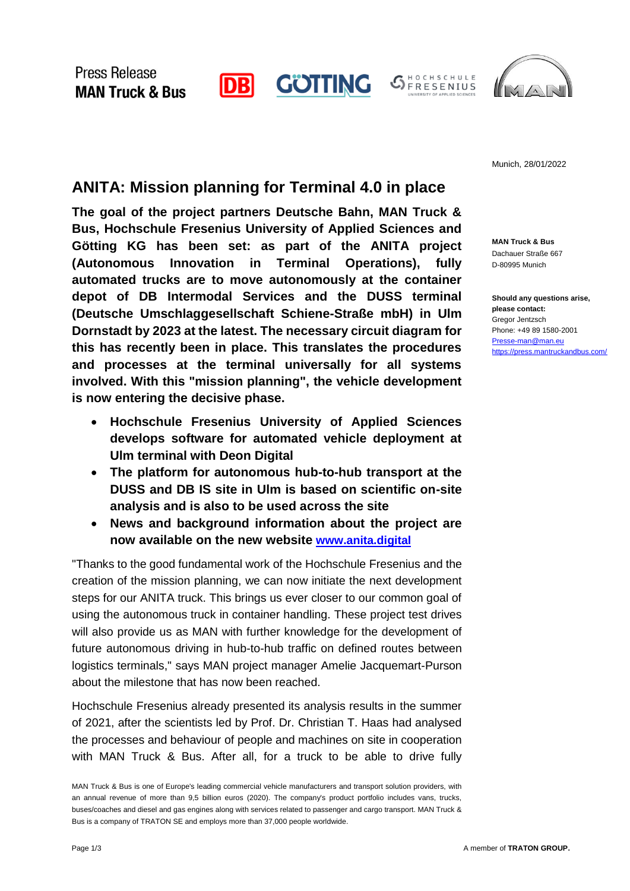

HOCHSCHULE **S** HOCHSCHULE<br>
FRESENIUS



Munich, 28/01/2022

## **ANITA: Mission planning for Terminal 4.0 in place**

**The goal of the project partners Deutsche Bahn, MAN Truck & Bus, Hochschule Fresenius University of Applied Sciences and Götting KG has been set: as part of the ANITA project (Autonomous Innovation in Terminal Operations), fully automated trucks are to move autonomously at the container depot of DB Intermodal Services and the DUSS terminal (Deutsche Umschlaggesellschaft Schiene-Straße mbH) in Ulm Dornstadt by 2023 at the latest. The necessary circuit diagram for this has recently been in place. This translates the procedures and processes at the terminal universally for all systems involved. With this "mission planning", the vehicle development is now entering the decisive phase.**

- **Hochschule Fresenius University of Applied Sciences develops software for automated vehicle deployment at Ulm terminal with Deon Digital**
- **The platform for autonomous hub-to-hub transport at the DUSS and DB IS site in Ulm is based on scientific on-site analysis and is also to be used across the site**
- **News and background information about the project are now available on the new website www.anita.digital**

"Thanks to the good fundamental work of the Hochschule Fresenius and the creation of the mission planning, we can now initiate the next development steps for our ANITA truck. This brings us ever closer to our common goal of using the autonomous truck in container handling. These project test drives will also provide us as MAN with further knowledge for the development of future autonomous driving in hub-to-hub traffic on defined routes between logistics terminals," says MAN project manager Amelie Jacquemart-Purson about the milestone that has now been reached.

Hochschule Fresenius already presented its analysis results in the summer of 2021, after the scientists led by Prof. Dr. Christian T. Haas had analysed the processes and behaviour of people and machines on site in cooperation with MAN Truck & Bus. After all, for a truck to be able to drive fully

**MAN Truck & Bus** Dachauer Straße 667 D-80995 Munich

**Should any questions arise, please contact:** Gregor Jentzsch Phone: +49 89 1580-2001 [Presse-man@man.eu](mailto:Presse-man@man.eu) <https://press.mantruckandbus.com/>

MAN Truck & Bus is one of Europe's leading commercial vehicle manufacturers and transport solution providers, with an annual revenue of more than 9,5 billion euros (2020). The company's product portfolio includes vans, trucks, buses/coaches and diesel and gas engines along with services related to passenger and cargo transport. MAN Truck & Bus is a company of TRATON SE and employs more than 37,000 people worldwide.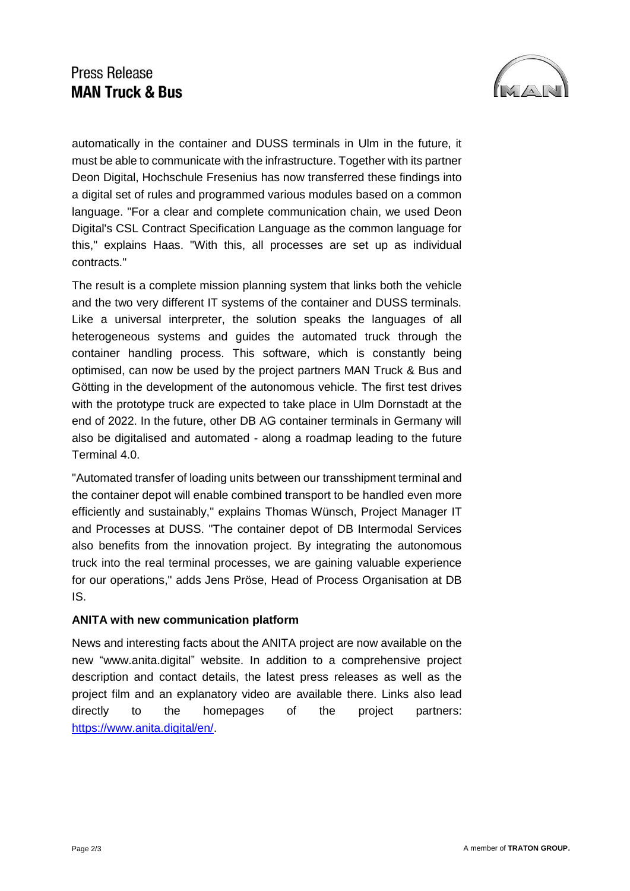# **Press Release MAN Truck & Bus**



automatically in the container and DUSS terminals in Ulm in the future, it must be able to communicate with the infrastructure. Together with its partner Deon Digital, Hochschule Fresenius has now transferred these findings into a digital set of rules and programmed various modules based on a common language. "For a clear and complete communication chain, we used Deon Digital's CSL Contract Specification Language as the common language for this," explains Haas. "With this, all processes are set up as individual contracts."

The result is a complete mission planning system that links both the vehicle and the two very different IT systems of the container and DUSS terminals. Like a universal interpreter, the solution speaks the languages of all heterogeneous systems and guides the automated truck through the container handling process. This software, which is constantly being optimised, can now be used by the project partners MAN Truck & Bus and Götting in the development of the autonomous vehicle. The first test drives with the prototype truck are expected to take place in Ulm Dornstadt at the end of 2022. In the future, other DB AG container terminals in Germany will also be digitalised and automated - along a roadmap leading to the future Terminal 4.0.

"Automated transfer of loading units between our transshipment terminal and the container depot will enable combined transport to be handled even more efficiently and sustainably," explains Thomas Wünsch, Project Manager IT and Processes at DUSS. "The container depot of DB Intermodal Services also benefits from the innovation project. By integrating the autonomous truck into the real terminal processes, we are gaining valuable experience for our operations," adds Jens Pröse, Head of Process Organisation at DB IS.

#### **ANITA with new communication platform**

News and interesting facts about the ANITA project are now available on the new "www.anita.digital" website. In addition to a comprehensive project description and contact details, the latest press releases as well as the project film and an explanatory video are available there. Links also lead directly to the homepages of the project partners: [https://www.anita.digital/en/.](https://www.anita.digital/en/)